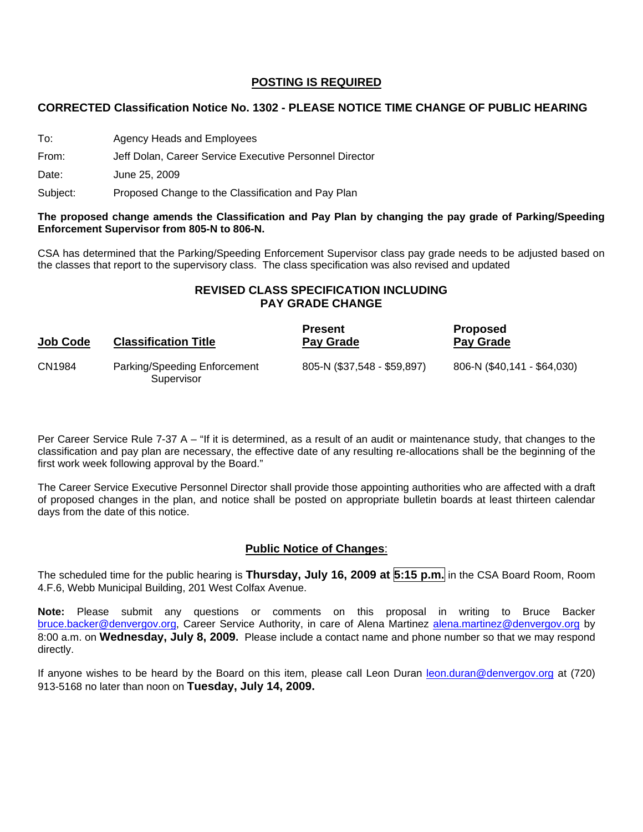### **POSTING IS REQUIRED**

#### **CORRECTED Classification Notice No. 1302 - PLEASE NOTICE TIME CHANGE OF PUBLIC HEARING**

To: Agency Heads and Employees

From: Jeff Dolan, Career Service Executive Personnel Director

Date: June 25, 2009

Subject: Proposed Change to the Classification and Pay Plan

#### **The proposed change amends the Classification and Pay Plan by changing the pay grade of Parking/Speeding Enforcement Supervisor from 805-N to 806-N.**

CSA has determined that the Parking/Speeding Enforcement Supervisor class pay grade needs to be adjusted based on the classes that report to the supervisory class. The class specification was also revised and updated

## **REVISED CLASS SPECIFICATION INCLUDING PAY GRADE CHANGE**

| Job Code | <b>Classification Title</b>                | <b>Present</b><br>Pay Grade | <b>Proposed</b><br><b>Pay Grade</b> |
|----------|--------------------------------------------|-----------------------------|-------------------------------------|
| CN1984   | Parking/Speeding Enforcement<br>Supervisor | 805-N (\$37,548 - \$59,897) | 806-N (\$40,141 - \$64,030)         |

Per Career Service Rule 7-37 A – "If it is determined, as a result of an audit or maintenance study, that changes to the classification and pay plan are necessary, the effective date of any resulting re-allocations shall be the beginning of the first work week following approval by the Board."

The Career Service Executive Personnel Director shall provide those appointing authorities who are affected with a draft of proposed changes in the plan, and notice shall be posted on appropriate bulletin boards at least thirteen calendar days from the date of this notice.

## **Public Notice of Changes**:

The scheduled time for the public hearing is **Thursday, July 16, 2009 at 5:15 p.m.** in the CSA Board Room, Room 4.F.6, Webb Municipal Building, 201 West Colfax Avenue.

**Note:** Please submit any questions or comments on this proposal in writing to Bruce Backer [bruce.backer@denvergov.org,](mailto:bruce.backer@denvergov.org) Career Service Authority, in care of Alena Martinez [alena.martinez@denvergov.org](mailto:alena.martinez@denvergov.org) by 8:00 a.m. on **Wednesday, July 8, 2009.** Please include a contact name and phone number so that we may respond directly.

If anyone wishes to be heard by the Board on this item, please call Leon Duran [leon.duran@denvergov.org](mailto:leon.duran@denvergov.org) at (720) 913-5168 no later than noon on **Tuesday, July 14, 2009.**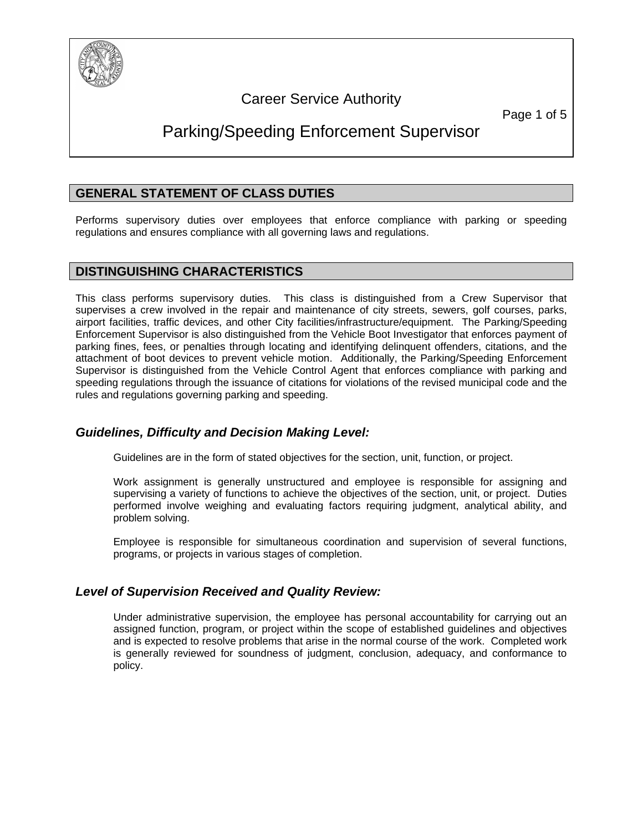

# Career Service Authority

Page 1 of 5

# Parking/Speeding Enforcement Supervisor

## **GENERAL STATEMENT OF CLASS DUTIES**

Performs supervisory duties over employees that enforce compliance with parking or speeding regulations and ensures compliance with all governing laws and regulations.

## **DISTINGUISHING CHARACTERISTICS**

This class performs supervisory duties. This class is distinguished from a Crew Supervisor that supervises a crew involved in the repair and maintenance of city streets, sewers, golf courses, parks, airport facilities, traffic devices, and other City facilities/infrastructure/equipment. The Parking/Speeding Enforcement Supervisor is also distinguished from the Vehicle Boot Investigator that enforces payment of parking fines, fees, or penalties through locating and identifying delinquent offenders, citations, and the attachment of boot devices to prevent vehicle motion. Additionally, the Parking/Speeding Enforcement Supervisor is distinguished from the Vehicle Control Agent that enforces compliance with parking and speeding regulations through the issuance of citations for violations of the revised municipal code and the rules and regulations governing parking and speeding.

## *Guidelines, Difficulty and Decision Making Level:*

Guidelines are in the form of stated objectives for the section, unit, function, or project.

Work assignment is generally unstructured and employee is responsible for assigning and supervising a variety of functions to achieve the objectives of the section, unit, or project. Duties performed involve weighing and evaluating factors requiring judgment, analytical ability, and problem solving.

Employee is responsible for simultaneous coordination and supervision of several functions, programs, or projects in various stages of completion.

## *Level of Supervision Received and Quality Review:*

Under administrative supervision, the employee has personal accountability for carrying out an assigned function, program, or project within the scope of established guidelines and objectives and is expected to resolve problems that arise in the normal course of the work. Completed work is generally reviewed for soundness of judgment, conclusion, adequacy, and conformance to policy.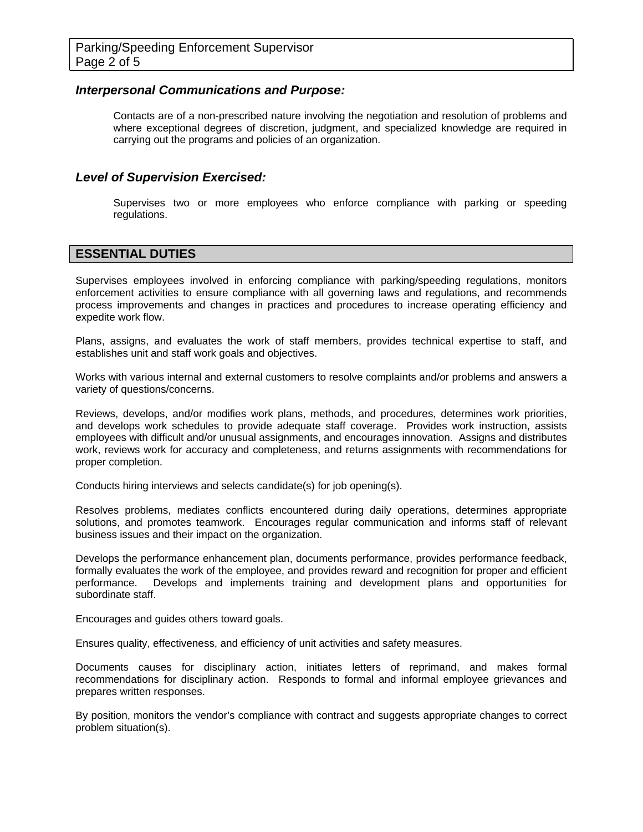#### *Interpersonal Communications and Purpose:*

Contacts are of a non-prescribed nature involving the negotiation and resolution of problems and where exceptional degrees of discretion, judgment, and specialized knowledge are required in carrying out the programs and policies of an organization.

### *Level of Supervision Exercised:*

Supervises two or more employees who enforce compliance with parking or speeding regulations.

## **ESSENTIAL DUTIES**

Supervises employees involved in enforcing compliance with parking/speeding regulations, monitors enforcement activities to ensure compliance with all governing laws and regulations, and recommends process improvements and changes in practices and procedures to increase operating efficiency and expedite work flow.

Plans, assigns, and evaluates the work of staff members, provides technical expertise to staff, and establishes unit and staff work goals and objectives.

Works with various internal and external customers to resolve complaints and/or problems and answers a variety of questions/concerns.

Reviews, develops, and/or modifies work plans, methods, and procedures, determines work priorities, and develops work schedules to provide adequate staff coverage. Provides work instruction, assists employees with difficult and/or unusual assignments, and encourages innovation. Assigns and distributes work, reviews work for accuracy and completeness, and returns assignments with recommendations for proper completion.

Conducts hiring interviews and selects candidate(s) for job opening(s).

Resolves problems, mediates conflicts encountered during daily operations, determines appropriate solutions, and promotes teamwork. Encourages regular communication and informs staff of relevant business issues and their impact on the organization.

Develops the performance enhancement plan, documents performance, provides performance feedback, formally evaluates the work of the employee, and provides reward and recognition for proper and efficient performance. Develops and implements training and development plans and opportunities for subordinate staff.

Encourages and guides others toward goals.

Ensures quality, effectiveness, and efficiency of unit activities and safety measures.

Documents causes for disciplinary action, initiates letters of reprimand, and makes formal recommendations for disciplinary action. Responds to formal and informal employee grievances and prepares written responses.

By position, monitors the vendor's compliance with contract and suggests appropriate changes to correct problem situation(s).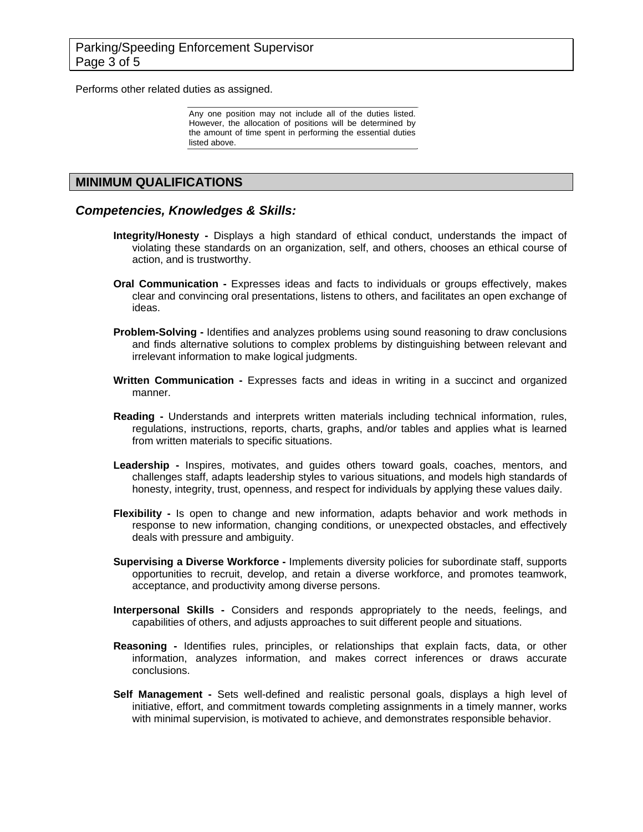Performs other related duties as assigned.

Any one position may not include all of the duties listed. However, the allocation of positions will be determined by the amount of time spent in performing the essential duties listed above.

### **MINIMUM QUALIFICATIONS**

#### *Competencies, Knowledges & Skills:*

- **Integrity/Honesty** Displays a high standard of ethical conduct, understands the impact of violating these standards on an organization, self, and others, chooses an ethical course of action, and is trustworthy.
- **Oral Communication** Expresses ideas and facts to individuals or groups effectively, makes clear and convincing oral presentations, listens to others, and facilitates an open exchange of ideas.
- **Problem-Solving** Identifies and analyzes problems using sound reasoning to draw conclusions and finds alternative solutions to complex problems by distinguishing between relevant and irrelevant information to make logical judgments.
- **Written Communication -** Expresses facts and ideas in writing in a succinct and organized manner.
- **Reading** Understands and interprets written materials including technical information, rules, regulations, instructions, reports, charts, graphs, and/or tables and applies what is learned from written materials to specific situations.
- Leadership Inspires, motivates, and guides others toward goals, coaches, mentors, and challenges staff, adapts leadership styles to various situations, and models high standards of honesty, integrity, trust, openness, and respect for individuals by applying these values daily.
- **Flexibility** Is open to change and new information, adapts behavior and work methods in response to new information, changing conditions, or unexpected obstacles, and effectively deals with pressure and ambiguity.
- **Supervising a Diverse Workforce** Implements diversity policies for subordinate staff, supports opportunities to recruit, develop, and retain a diverse workforce, and promotes teamwork, acceptance, and productivity among diverse persons.
- **Interpersonal Skills -** Considers and responds appropriately to the needs, feelings, and capabilities of others, and adjusts approaches to suit different people and situations.
- **Reasoning** Identifies rules, principles, or relationships that explain facts, data, or other information, analyzes information, and makes correct inferences or draws accurate conclusions.
- **Self Management** Sets well-defined and realistic personal goals, displays a high level of initiative, effort, and commitment towards completing assignments in a timely manner, works with minimal supervision, is motivated to achieve, and demonstrates responsible behavior.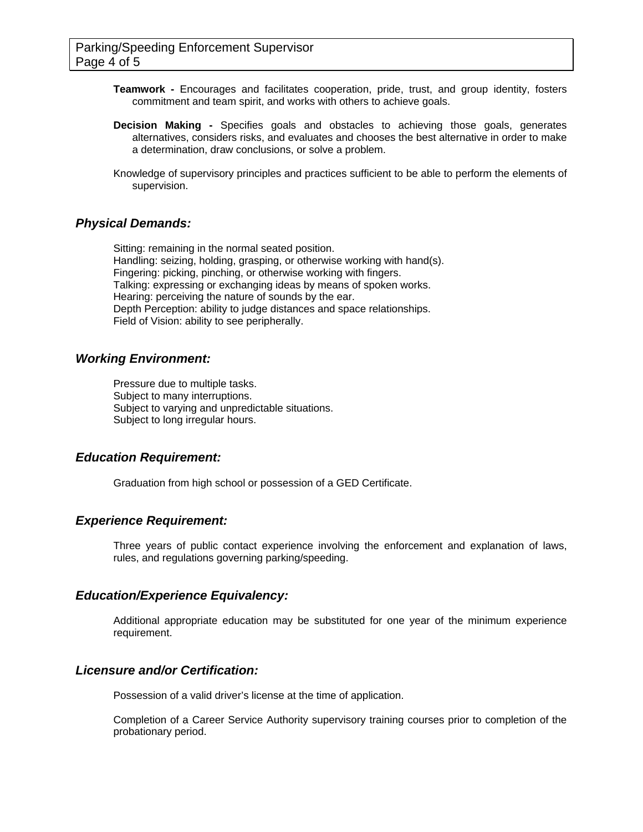- **Teamwork** Encourages and facilitates cooperation, pride, trust, and group identity, fosters commitment and team spirit, and works with others to achieve goals.
- **Decision Making** Specifies goals and obstacles to achieving those goals, generates alternatives, considers risks, and evaluates and chooses the best alternative in order to make a determination, draw conclusions, or solve a problem.
- Knowledge of supervisory principles and practices sufficient to be able to perform the elements of supervision.

#### *Physical Demands:*

Sitting: remaining in the normal seated position. Handling: seizing, holding, grasping, or otherwise working with hand(s). Fingering: picking, pinching, or otherwise working with fingers. Talking: expressing or exchanging ideas by means of spoken works. Hearing: perceiving the nature of sounds by the ear. Depth Perception: ability to judge distances and space relationships. Field of Vision: ability to see peripherally.

#### *Working Environment:*

Pressure due to multiple tasks. Subject to many interruptions. Subject to varying and unpredictable situations. Subject to long irregular hours.

#### *Education Requirement:*

Graduation from high school or possession of a GED Certificate.

#### *Experience Requirement:*

Three years of public contact experience involving the enforcement and explanation of laws, rules, and regulations governing parking/speeding.

#### *Education/Experience Equivalency:*

Additional appropriate education may be substituted for one year of the minimum experience requirement.

#### *Licensure and/or Certification:*

Possession of a valid driver's license at the time of application.

Completion of a Career Service Authority supervisory training courses prior to completion of the probationary period.